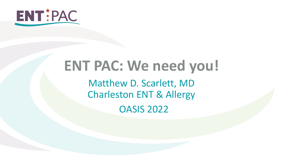

### **ENT PAC: We need you!** Matthew D. Scarlett, MD Charleston ENT & Allergy OASIS 2022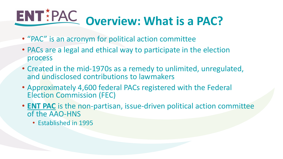# **ENT**<sup>\*</sup>PAC overview: What is a PAC?

- "PAC" is an acronym for political action committee
- PACs are a legal and ethical way to participate in the election process
- Created in the mid-1970s as a remedy to unlimited, unregulated, and undisclosed contributions to lawmakers
- Approximately 4,600 federal PACs registered with the Federal Election Commission (FEC)
- **ENT PAC** is the non-partisan, issue-driven political action committee of the AAO-HNS
	- Established in 1995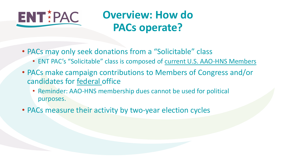

### **Overview: How do PACs operate?**

- PACs may only seek donations from a "Solicitable" class
	- ENT PAC's "Solicitable" class is composed of current U.S. AAO-HNS Members
- PACs make campaign contributions to Members of Congress and/or candidates for federal office
	- Reminder: AAO-HNS membership dues cannot be used for political purposes.
- PACs measure their activity by two-year election cycles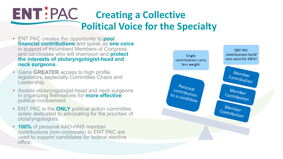### ENTIPAC **Creating a Collective Political Voice for the Specialty**

- ENT PAC creates the opportunity to **pool financial contributions** and speak as **one voice**  in support of incumbent Members of Congress and candidates who will champion and **protect the interests of otolaryngologist-head and neck surgeons.**
- Gains **GREATER** access to high profile legislators, especially Committee Chairs and Leadership.
- Assists otolaryngologist-head and neck surgeons in organizing themselves for **more effective**  political involvement.
- ENT PAC is the **ONLY** political action committee solely dedicated to advocating for the priorities of otolaryngologists.
- **100%** of personal AAO-HNS member contributions (non-corporate) to ENT PAC are used to support candidates for federal elective office.

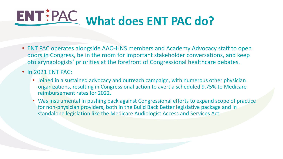# **ENT** PAC what does ENT PAC do?

• ENT PAC operates alongside AAO-HNS members and Academy Advocacy staff to open doors in Congress, be in the room for important stakeholder conversations, and keep otolaryngologists' priorities at the forefront of Congressional healthcare debates.

#### • In 2021 ENT PAC:

- Joined in a sustained advocacy and outreach campaign, with numerous other physician organizations, resulting in Congressional action to avert a scheduled 9.75% to Medicare reimbursement rates for 2022.
- Was instrumental in pushing back against Congressional efforts to expand scope of practice for non-physician providers, both in the Build Back Better legislative package and in standalone legislation like the Medicare Audiologist Access and Services Act.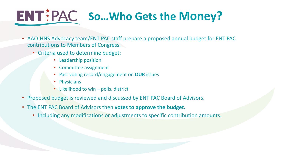## **ENT** PAC So... Who Gets the Money?

- AAO-HNS Advocacy team/ENT PAC staff prepare a proposed annual budget for ENT PAC contributions to Members of Congress.
	- Criteria used to determine budget:
		- Leadership position
		- Committee assignment
		- Past voting record/engagement on **OUR** issues
		- Physicians
		- Likelihood to win polls, district
- Proposed budget is reviewed and discussed by ENT PAC Board of Advisors.
- The ENT PAC Board of Advisors then **votes to approve the budget.**
	- Including any modifications or adjustments to specific contribution amounts.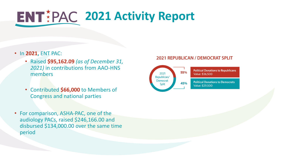## **2021 Activity Report**

- In **2021,** ENT PAC:
	- Raised **\$95,162.09** *(as of December 31, 2021)* in contributions from AAO-HNS members
	- Contributed **\$66,000** to Members of Congress and national parties
- For comparison, ASHA-PAC, one of the audiology PACs, raised \$246,166.00 and disbursed \$134,000.00 over the same time period

#### **2021 REPUBLICAN / DEMOCRAT SPLIT**

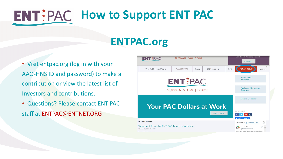## **ENT**#PAC How to Support ENT PAC

### **ENTPAC.org**

- Visit entpac.org (log in with your AAO-HNS ID and password) to make a contribution or view the latest list of Investors and contributions.
- Questions? Please contact ENT PAC staff at ENTPAC@ENTNET.ORG